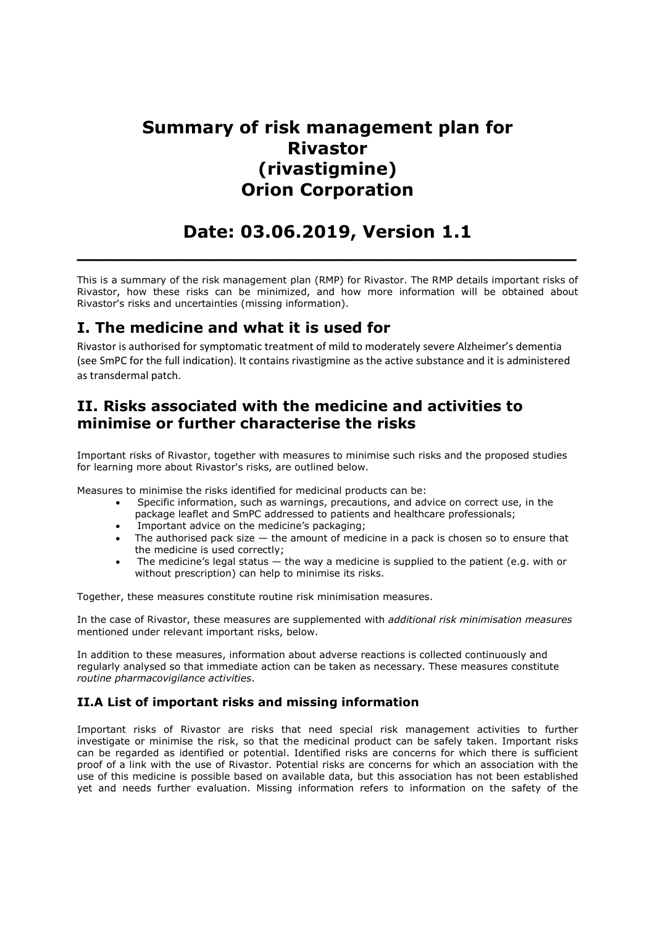# Summary of risk management plan for Rivastor (rivastigmine) Orion Corporation

# Date: 03.06.2019, Version 1.1

 $\_$  , and the set of the set of the set of the set of the set of the set of the set of the set of the set of the set of the set of the set of the set of the set of the set of the set of the set of the set of the set of th

This is a summary of the risk management plan (RMP) for Rivastor. The RMP details important risks of Rivastor, how these risks can be minimized, and how more information will be obtained about Rivastor's risks and uncertainties (missing information).

## I. The medicine and what it is used for

Rivastor is authorised for symptomatic treatment of mild to moderately severe Alzheimer's dementia (see SmPC for the full indication). It contains rivastigmine as the active substance and it is administered as transdermal patch.

### II. Risks associated with the medicine and activities to minimise or further characterise the risks

Important risks of Rivastor, together with measures to minimise such risks and the proposed studies for learning more about Rivastor's risks, are outlined below.

Measures to minimise the risks identified for medicinal products can be:

- Specific information, such as warnings, precautions, and advice on correct use, in the package leaflet and SmPC addressed to patients and healthcare professionals;
- Important advice on the medicine's packaging;
- The authorised pack size the amount of medicine in a pack is chosen so to ensure that the medicine is used correctly;
- The medicine's legal status the way a medicine is supplied to the patient (e.g. with or without prescription) can help to minimise its risks.

Together, these measures constitute routine risk minimisation measures.

In the case of Rivastor, these measures are supplemented with additional risk minimisation measures mentioned under relevant important risks, below.

In addition to these measures, information about adverse reactions is collected continuously and regularly analysed so that immediate action can be taken as necessary. These measures constitute routine pharmacovigilance activities.

#### II.A List of important risks and missing information

Important risks of Rivastor are risks that need special risk management activities to further investigate or minimise the risk, so that the medicinal product can be safely taken. Important risks can be regarded as identified or potential. Identified risks are concerns for which there is sufficient proof of a link with the use of Rivastor. Potential risks are concerns for which an association with the use of this medicine is possible based on available data, but this association has not been established yet and needs further evaluation. Missing information refers to information on the safety of the